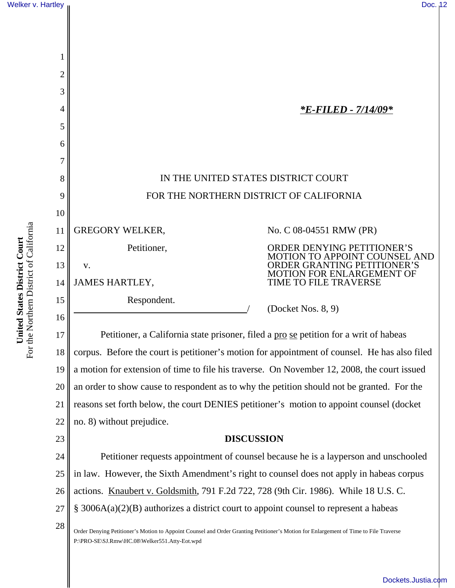